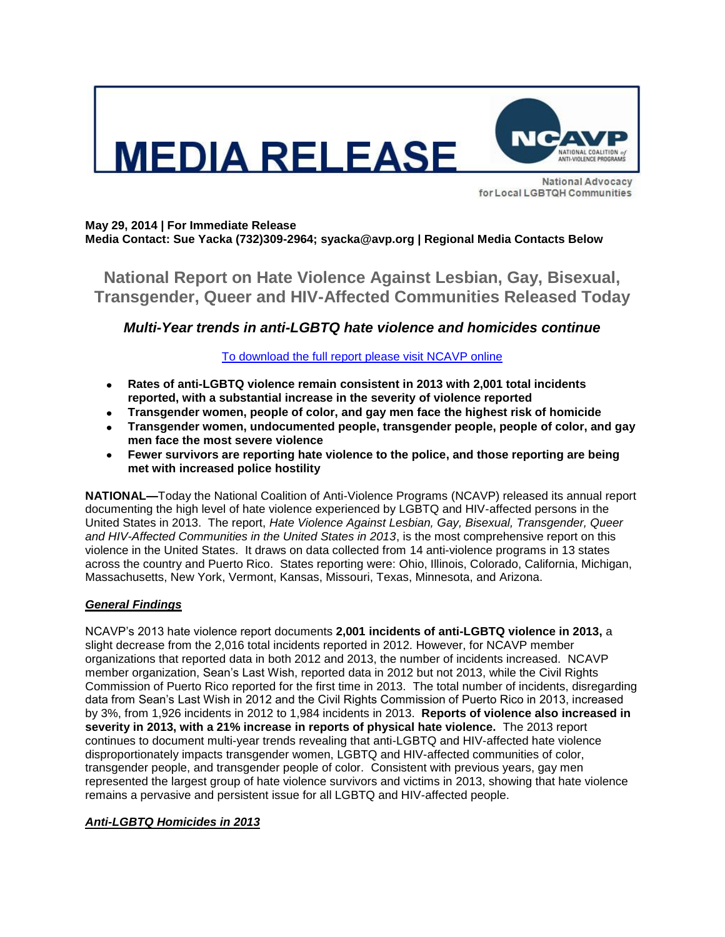

for Local LGBTQH Communities

#### **May 29, 2014 | For Immediate Release Media Contact: Sue Yacka (732)309-2964; syacka@avp.org | Regional Media Contacts Below**

**National Report on Hate Violence Against Lesbian, Gay, Bisexual, Transgender, Queer and HIV-Affected Communities Released Today**

# *Multi-Year trends in anti-LGBTQ hate violence and homicides continue*

## [To download the full report please visit NCAVP online](http://avp.org/about-avp/national-coalition-of-anti-violence-programs)

- **Rates of anti-LGBTQ violence remain consistent in 2013 with 2,001 total incidents**   $\bullet$ **reported, with a substantial increase in the severity of violence reported**
- **Transgender women, people of color, and gay men face the highest risk of homicide**
- **Transgender women, undocumented people, transgender people, people of color, and gay men face the most severe violence**
- **Fewer survivors are reporting hate violence to the police, and those reporting are being met with increased police hostility**

**NATIONAL—**Today the National Coalition of Anti-Violence Programs (NCAVP) released its annual report documenting the high level of hate violence experienced by LGBTQ and HIV-affected persons in the United States in 2013. The report, *Hate Violence Against Lesbian, Gay, Bisexual, Transgender, Queer and HIV-Affected Communities in the United States in 2013*, is the most comprehensive report on this violence in the United States. It draws on data collected from 14 anti-violence programs in 13 states across the country and Puerto Rico. States reporting were: Ohio, Illinois, Colorado, California, Michigan, Massachusetts, New York, Vermont, Kansas, Missouri, Texas, Minnesota, and Arizona.

## *General Findings*

NCAVP's 2013 hate violence report documents **2,001 incidents of anti-LGBTQ violence in 2013,** a slight decrease from the 2,016 total incidents reported in 2012. However, for NCAVP member organizations that reported data in both 2012 and 2013, the number of incidents increased. NCAVP member organization, Sean's Last Wish, reported data in 2012 but not 2013, while the Civil Rights Commission of Puerto Rico reported for the first time in 2013. The total number of incidents, disregarding data from Sean's Last Wish in 2012 and the Civil Rights Commission of Puerto Rico in 2013, increased by 3%, from 1,926 incidents in 2012 to 1,984 incidents in 2013. **Reports of violence also increased in severity in 2013, with a 21% increase in reports of physical hate violence.** The 2013 report continues to document multi-year trends revealing that anti-LGBTQ and HIV-affected hate violence disproportionately impacts transgender women, LGBTQ and HIV-affected communities of color, transgender people, and transgender people of color. Consistent with previous years, gay men represented the largest group of hate violence survivors and victims in 2013, showing that hate violence remains a pervasive and persistent issue for all LGBTQ and HIV-affected people.

## *Anti-LGBTQ Homicides in 2013*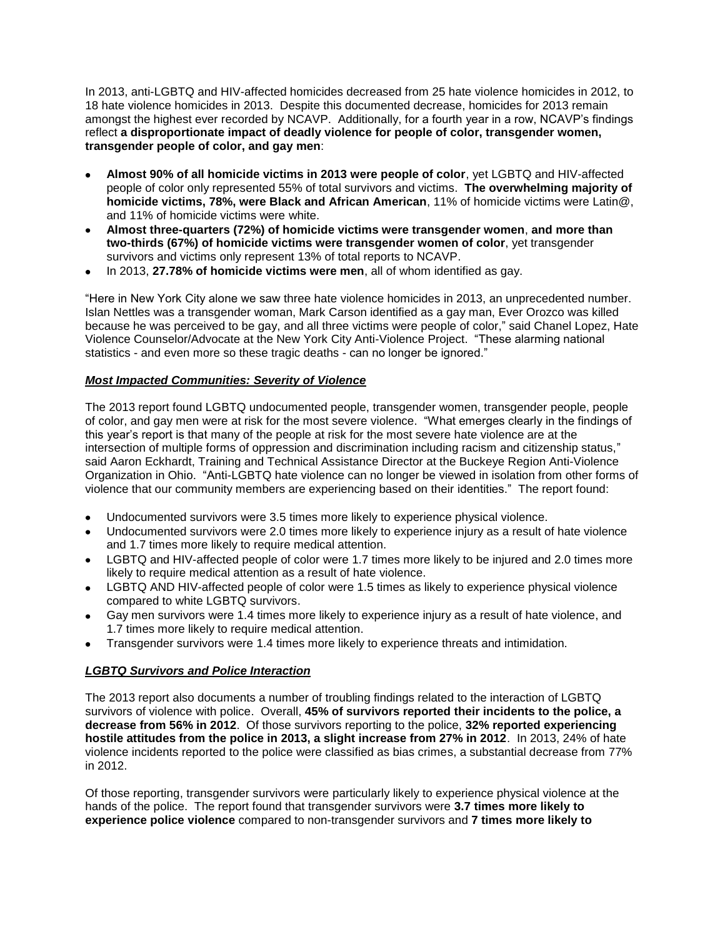In 2013, anti-LGBTQ and HIV-affected homicides decreased from 25 hate violence homicides in 2012, to 18 hate violence homicides in 2013. Despite this documented decrease, homicides for 2013 remain amongst the highest ever recorded by NCAVP. Additionally, for a fourth year in a row, NCAVP's findings reflect **a disproportionate impact of deadly violence for people of color, transgender women, transgender people of color, and gay men**:

- **Almost 90% of all homicide victims in 2013 were people of color**, yet LGBTQ and HIV-affected people of color only represented 55% of total survivors and victims. **The overwhelming majority of homicide victims, 78%, were Black and African American**, 11% of homicide victims were Latin@, and 11% of homicide victims were white.
- **Almost three-quarters (72%) of homicide victims were transgender women**, **and more than two-thirds (67%) of homicide victims were transgender women of color**, yet transgender survivors and victims only represent 13% of total reports to NCAVP.
- In 2013, **27.78% of homicide victims were men**, all of whom identified as gay.

"Here in New York City alone we saw three hate violence homicides in 2013, an unprecedented number. Islan Nettles was a transgender woman, Mark Carson identified as a gay man, Ever Orozco was killed because he was perceived to be gay, and all three victims were people of color," said Chanel Lopez, Hate Violence Counselor/Advocate at the New York City Anti-Violence Project. "These alarming national statistics - and even more so these tragic deaths - can no longer be ignored."

#### *Most Impacted Communities: Severity of Violence*

The 2013 report found LGBTQ undocumented people, transgender women, transgender people, people of color, and gay men were at risk for the most severe violence. "What emerges clearly in the findings of this year's report is that many of the people at risk for the most severe hate violence are at the intersection of multiple forms of oppression and discrimination including racism and citizenship status," said Aaron Eckhardt, Training and Technical Assistance Director at the Buckeye Region Anti-Violence Organization in Ohio. "Anti-LGBTQ hate violence can no longer be viewed in isolation from other forms of violence that our community members are experiencing based on their identities." The report found:

- Undocumented survivors were 3.5 times more likely to experience physical violence.
- Undocumented survivors were 2.0 times more likely to experience injury as a result of hate violence  $\bullet$ and 1.7 times more likely to require medical attention.
- LGBTQ and HIV-affected people of color were 1.7 times more likely to be injured and 2.0 times more likely to require medical attention as a result of hate violence.
- LGBTQ AND HIV-affected people of color were 1.5 times as likely to experience physical violence compared to white LGBTQ survivors.
- Gay men survivors were 1.4 times more likely to experience injury as a result of hate violence, and 1.7 times more likely to require medical attention.
- Transgender survivors were 1.4 times more likely to experience threats and intimidation.

## *LGBTQ Survivors and Police Interaction*

The 2013 report also documents a number of troubling findings related to the interaction of LGBTQ survivors of violence with police. Overall, **45% of survivors reported their incidents to the police, a decrease from 56% in 2012**. Of those survivors reporting to the police, **32% reported experiencing hostile attitudes from the police in 2013, a slight increase from 27% in 2012**. In 2013, 24% of hate violence incidents reported to the police were classified as bias crimes, a substantial decrease from 77% in 2012.

Of those reporting, transgender survivors were particularly likely to experience physical violence at the hands of the police. The report found that transgender survivors were **3.7 times more likely to experience police violence** compared to non-transgender survivors and **7 times more likely to**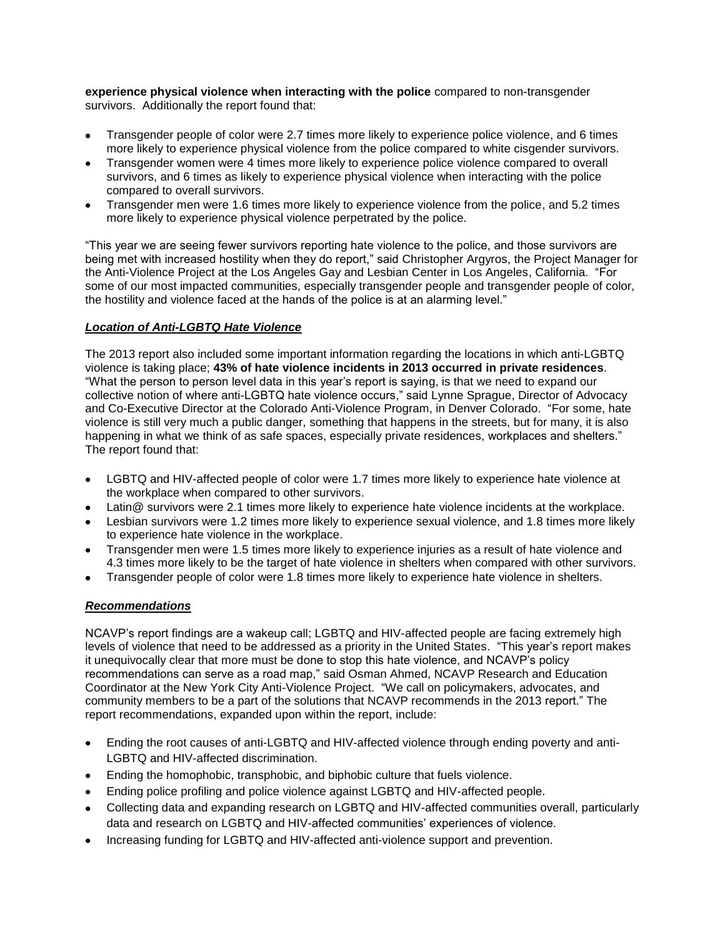**experience physical violence when interacting with the police** compared to non-transgender survivors. Additionally the report found that:

- Transgender people of color were 2.7 times more likely to experience police violence, and 6 times more likely to experience physical violence from the police compared to white cisgender survivors.
- Transgender women were 4 times more likely to experience police violence compared to overall survivors, and 6 times as likely to experience physical violence when interacting with the police compared to overall survivors.
- Transgender men were 1.6 times more likely to experience violence from the police, and 5.2 times more likely to experience physical violence perpetrated by the police.

"This year we are seeing fewer survivors reporting hate violence to the police, and those survivors are being met with increased hostility when they do report," said Christopher Argyros, the Project Manager for the Anti-Violence Project at the Los Angeles Gay and Lesbian Center in Los Angeles, California. "For some of our most impacted communities, especially transgender people and transgender people of color, the hostility and violence faced at the hands of the police is at an alarming level."

#### *Location of Anti-LGBTQ Hate Violence*

The 2013 report also included some important information regarding the locations in which anti-LGBTQ violence is taking place; **43% of hate violence incidents in 2013 occurred in private residences**. "What the person to person level data in this year's report is saying, is that we need to expand our collective notion of where anti-LGBTQ hate violence occurs," said Lynne Sprague, Director of Advocacy and Co-Executive Director at the Colorado Anti-Violence Program, in Denver Colorado. "For some, hate violence is still very much a public danger, something that happens in the streets, but for many, it is also happening in what we think of as safe spaces, especially private residences, workplaces and shelters." The report found that:

- LGBTQ and HIV-affected people of color were 1.7 times more likely to experience hate violence at the workplace when compared to other survivors.
- Latin@ survivors were 2.1 times more likely to experience hate violence incidents at the workplace.
- Lesbian survivors were 1.2 times more likely to experience sexual violence, and 1.8 times more likely to experience hate violence in the workplace.
- Transgender men were 1.5 times more likely to experience injuries as a result of hate violence and 4.3 times more likely to be the target of hate violence in shelters when compared with other survivors.
- Transgender people of color were 1.8 times more likely to experience hate violence in shelters.

#### *Recommendations*

NCAVP's report findings are a wakeup call; LGBTQ and HIV-affected people are facing extremely high levels of violence that need to be addressed as a priority in the United States. "This year's report makes it unequivocally clear that more must be done to stop this hate violence, and NCAVP's policy recommendations can serve as a road map," said Osman Ahmed, NCAVP Research and Education Coordinator at the New York City Anti-Violence Project. "We call on policymakers, advocates, and community members to be a part of the solutions that NCAVP recommends in the 2013 report." The report recommendations, expanded upon within the report, include:

- Ending the root causes of anti-LGBTQ and HIV-affected violence through ending poverty and anti-LGBTQ and HIV-affected discrimination.
- Ending the homophobic, transphobic, and biphobic culture that fuels violence.
- Ending police profiling and police violence against LGBTQ and HIV-affected people.
- Collecting data and expanding research on LGBTQ and HIV-affected communities overall, particularly data and research on LGBTQ and HIV-affected communities' experiences of violence.
- Increasing funding for LGBTQ and HIV-affected anti-violence support and prevention.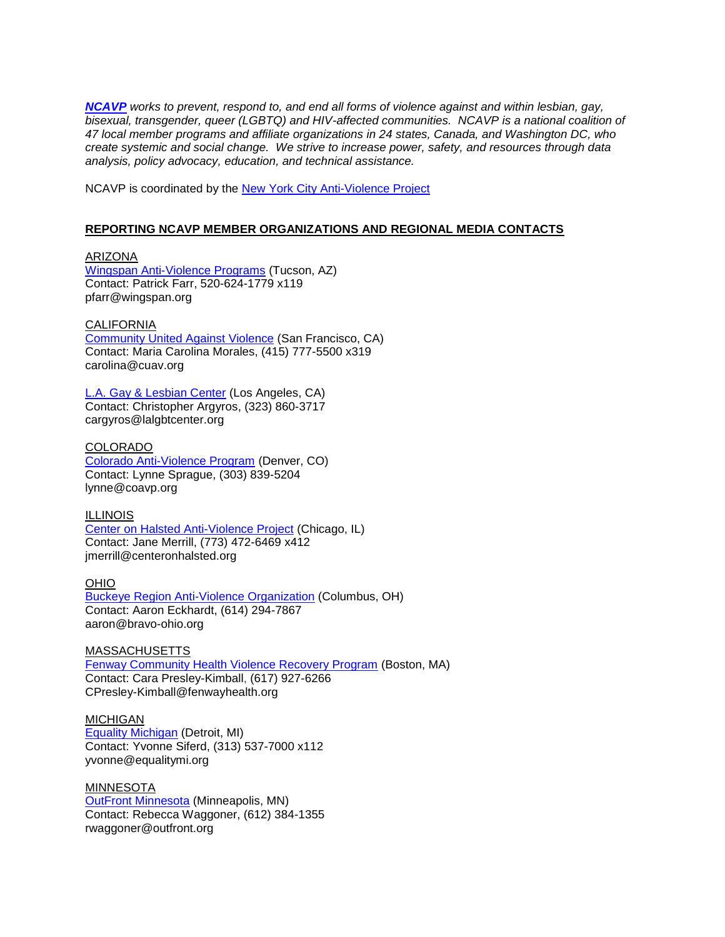*[NCAVP](http://www.avp.org/ncavp.htm) works to prevent, respond to, and end all forms of violence against and within lesbian, gay, bisexual, transgender, queer (LGBTQ) and HIV-affected communities. NCAVP is a national coalition of 47 local member programs and affiliate organizations in 24 states, Canada, and Washington DC, who create systemic and social change. We strive to increase power, safety, and resources through data analysis, policy advocacy, education, and technical assistance.* 

NCAVP is coordinated by the **New York City Anti-Violence Project** 

#### **REPORTING NCAVP MEMBER ORGANIZATIONS AND REGIONAL MEDIA CONTACTS**

ARIZONA [Wingspan Anti-Violence Programs](http://www.wingspan.org/) (Tucson, AZ) Contact: Patrick Farr, 520-624-1779 x119 pfarr@wingspan.org

CALIFORNIA [Community United Against Violence](http://www.cuav.org/) (San Francisco, CA) Contact: Maria Carolina Morales, (415) 777-5500 x319 carolina@cuav.org

[L.A. Gay & Lesbian Center](http://www.lagaycenter.org/site/PageServer?pagename=Anti_Violence_Project) (Los Angeles, CA) Contact: Christopher Argyros, (323) 860-3717 cargyros@lalgbtcenter.org

COLORADO [Colorado Anti-Violence Program](http://www.coavp.org/) (Denver, CO) Contact: Lynne Sprague, (303) 839-5204 lynne@coavp.org

ILLINOIS [Center on Halsted Anti-Violence Project](http://www.centeronhalsted.org/) (Chicago, IL) Contact: Jane Merrill, (773) 472-6469 x412 jmerrill@centeronhalsted.org

OHIO [Buckeye Region Anti-Violence Organization](http://www.bravo-ohio.org/) (Columbus, OH) Contact: Aaron Eckhardt, (614) 294-7867 aaron@bravo-ohio.org

**MASSACHUSETTS** [Fenway Community Health Violence Recovery Program](http://www.fenwayhealth.org/site/PageServer?pagename=FCHC_srv_services_violence) (Boston, MA) Contact: Cara Presley-Kimball, (617) 927-6266 CPresley-Kimball@fenwayhealth.org

MICHIGAN [Equality Michigan](http://www.equalitymi.org/) (Detroit, MI) Contact: Yvonne Siferd, (313) 537-7000 x112 yvonne@equalitymi.org

MINNESOTA [OutFront Minnesota](http://www.outfront.org/) (Minneapolis, MN) Contact: Rebecca Waggoner, (612) 384-1355 rwaggoner@outfront.org